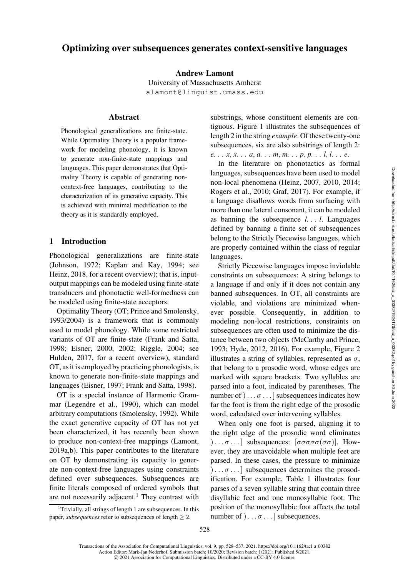# Optimizing over subsequences generates context-sensitive languages

Andrew Lamont

University of Massachusetts Amherst [alamont@linguist.umass.edu](mailto:alamont@linguist.umass.edu)

# Abstract

Phonological generalizations are finite-state. While Optimality Theory is a popular framework for modeling phonology, it is known to generate non-finite-state mappings and languages. This paper demonstrates that Optimality Theory is capable of generating noncontext-free languages, contributing to the characterization of its generative capacity. This is achieved with minimal modification to the theory as it is standardly employed.

### <span id="page-0-1"></span>1 Introduction

Phonological generalizations are finite-state [\(Johnson, 1972;](#page-7-0) [Kaplan and Kay](#page-7-1), [1994](#page-7-1); see [Heinz](#page-7-2), [2018](#page-7-2), for a recent overview); that is, inputoutput mappings can be modeled using finite-state transducers and phonotactic well-formedness can be modeled using finite-state acceptors.

Optimality Theory (OT; [Prince and Smolensky,](#page-8-0) [1993/2004](#page-8-0)) is a framework that is commonly used to model phonology. While some restricted variants of OT are finite-state [\(Frank and Satta,](#page-7-3) [1998](#page-7-3); [Eisner](#page-7-4), [2000,](#page-7-4) [2002](#page-7-5); [Riggle, 2004](#page-8-1); see [Hulden](#page-7-6), [2017,](#page-7-6) for a recent overview), standard OT, as it is employed by practicing phonologists, is known to generate non-finite-state mappings and languages [\(Eisner, 1997](#page-7-7); [Frank and Satta, 1998](#page-7-3)).

OT is a special instance of Harmonic Grammar [\(Legendre et al., 1990\)](#page-8-2), which can model arbitrary computations [\(Smolensky, 1992](#page-8-3)). While the exact generative capacity of OT has not yet been characterized, it has recently been shown to produce non-context-free mappings [\(Lamont,](#page-8-4) [2019a](#page-8-4)[,b](#page-8-5)). This paper contributes to the literature on OT by demonstrating its capacity to generate non-context-free languages using constraints defined over subsequences. Subsequences are finite literals composed of ordered symbols that are not necessarily adjacent.<sup>[1](#page-0-0)</sup> They contrast with

<span id="page-0-0"></span><sup>1</sup>Trivially, all strings of length 1 are subsequences. In this paper, *subsequences* refer to subsequences of length  $\geq 2$ .

substrings, whose constituent elements are contiguous. [Figure 1](#page-1-0) illustrates the subsequences of length 2 in the string *example*. Of these twenty-one subsequences, six are also substrings of length 2: *e. . . x*, *x. . . a*, *a. . . m*, *m. . . p*, *p. . . l*, *l. . . e*.

In the literature on phonotactics as formal languages, subsequences have been used to model non-local phenomena [\(Heinz, 2007](#page-7-8), [2010,](#page-7-9) [2014](#page-7-10); [Rogers et al., 2010](#page-8-6); [Graf, 2017\)](#page-7-11). For example, if a language disallows words from surfacing with more than one lateral consonant, it can be modeled as banning the subsequence *l. . . l*. Languages defined by banning a finite set of subsequences belong to the Strictly Piecewise languages, which are properly contained within the class of regular languages.

Strictly Piecewise languages impose inviolable constraints on subsequences: A string belongs to a language if and only if it does not contain any banned subsequences. In OT, all constraints are violable, and violations are minimized whenever possible. Consequently, in addition to modeling non-local restrictions, constraints on subsequences are often used to minimize the distance between two objects [\(McCarthy and Prince,](#page-8-7) [1993](#page-8-7); [Hyde, 2012,](#page-7-12) [2016\)](#page-7-13). For example, [Figure 2](#page-1-1) illustrates a string of syllables, represented as  $\sigma$ , that belong to a prosodic word, whose edges are marked with square brackets. Two syllables are parsed into a foot, indicated by parentheses. The number of  $) \dots \sigma \dots$  ] subsequences indicates how far the foot is from the right edge of the prosodic word, calculated over intervening syllables.

When only one foot is parsed, aligning it to the right edge of the prosodic word eliminates  $|... \sigma...|$  subsequences:  $[\sigma \sigma \sigma \sigma (\sigma \sigma)].$  However, they are unavoidable when multiple feet are parsed. In these cases, the pressure to minimize  $[\ldots, \sigma]$  subsequences determines the prosodification. For example, [Table 1](#page-1-2) illustrates four parses of a seven syllable string that contain three disyllabic feet and one monosyllabic foot. The position of the monosyllabic foot affects the total number of  $\, \ldots \sigma \ldots \, ]$  subsequences.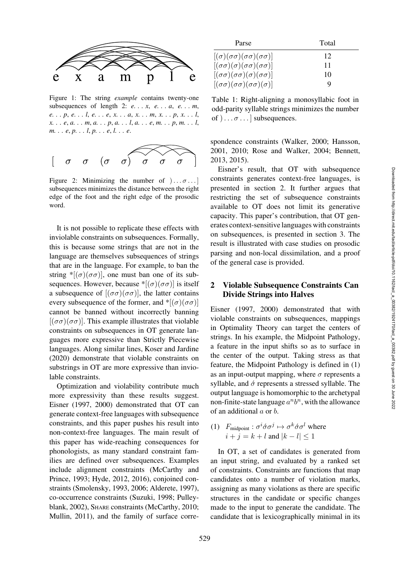

<span id="page-1-0"></span>Figure 1: The string *example* contains twenty-one subsequences of length 2: *e. . . x*, *e. . . a*, *e. . . m*, *e. . . p*, *e. . . l*, *e. . . e*, *x. . . a*, *x. . . m*, *x. . . p*, *x. . . l*, *x. . . e*, *a. . . m*, *a. . . p*, *a. . . l*, *a. . . e*, *m. . . p*, *m. . . l*, *m. . . e*, *p. . . l*, *p. . . e*, *l. . . e*.



<span id="page-1-1"></span>Figure 2: Minimizing the number of  $\ldots$   $\sigma$ ... subsequences minimizes the distance between the right edge of the foot and the right edge of the prosodic word.

It is not possible to replicate these effects with inviolable constraints on subsequences. Formally, this is because some strings that are not in the language are themselves subsequences of strings that are in the language. For example, to ban the string  $\sqrt[*]{(\sigma)(\sigma\sigma)}$ , one must ban one of its subsequences. However, because \* $[(\sigma)(\sigma\sigma)]$  is itself a subsequence of  $[(\sigma\sigma)(\sigma\sigma)]$ , the latter contains every subsequence of the former, and  $*[(\sigma)(\sigma\sigma)]$ cannot be banned without incorrectly banning  $[(\sigma\sigma)(\sigma\sigma)]$ . This example illustrates that violable constraints on subsequences in OT generate languages more expressive than Strictly Piecewise languages. Along similar lines, [Koser and Jardine](#page-7-14) [\(2020\)](#page-7-14) demonstrate that violable constraints on substrings in OT are more expressive than inviolable constraints.

Optimization and violability contribute much more expressivity than these results suggest. [Eisner](#page-7-7) [\(1997,](#page-7-7) [2000\)](#page-7-4) demonstrated that OT can generate context-free languages with subsequence constraints, and this paper pushes his result into non-context-free languages. The main result of this paper has wide-reaching consequences for phonologists, as many standard constraint families are defined over subsequences. Examples include alignment constraints (McCarthy and Prince, [1993](#page-8-7); [Hyde](#page-7-12), [2012](#page-7-12), [2016](#page-7-13)), conjoined constraints [\(Smolensky, 1993](#page-8-8), [2006](#page-8-9); [Alderete, 1997\)](#page-6-0), co-occurrence constraints [\(Suzuki](#page-9-0), [1998;](#page-9-0) Pulleyblank, [2002\)](#page-8-10), SHARE constraints [\(McCarthy](#page-8-11), [2010](#page-8-11); [Mullin, 2011](#page-8-12)), and the family of surface corre-

| Parse                                                  | Total |
|--------------------------------------------------------|-------|
| $[(\sigma)(\sigma\sigma)(\sigma\sigma)(\sigma\sigma)]$ | 12    |
| $[(\sigma\sigma)(\sigma)(\sigma\sigma)(\sigma\sigma)]$ | 11    |
| $[(\sigma\sigma)(\sigma\sigma)(\sigma)(\sigma\sigma)]$ | 10    |
| $[(\sigma\sigma)(\sigma\sigma)(\sigma\sigma)(\sigma)]$ | Q     |

<span id="page-1-2"></span>Table 1: Right-aligning a monosyllabic foot in odd-parity syllable strings minimizes the number of  $) \ldots \sigma \ldots$  ] subsequences.

spondence constraints [\(Walker](#page-9-1), [2000;](#page-9-1) [Hansson,](#page-7-15) [2001](#page-7-15), [2010;](#page-7-16) [Rose and Walker, 2004;](#page-8-13) [Bennett,](#page-6-1) [2013](#page-6-1), [2015\)](#page-6-2).

Eisner's result, that OT with subsequence constraints generates context-free languages, is presented in section [2.](#page-1-3) It further argues that restricting the set of subsequence constraints available to OT does not limit its generative capacity. This paper's contribution, that OT generates context-sensitive languages with constraints on subsequences, is presented in section [3.](#page-3-0) The result is illustrated with case studies on prosodic parsing and non-local dissimilation, and a proof of the general case is provided.

# <span id="page-1-3"></span>2 Violable Subsequence Constraints Can Divide Strings into Halves

Eisner [\(1997](#page-7-7), [2000](#page-7-4)) demonstrated that with violable constraints on subsequences, mappings in Optimality Theory can target the centers of strings. In his example, the Midpoint Pathology, a feature in the input shifts so as to surface in the center of the output. Taking stress as that feature, the Midpoint Pathology is defined in [\(1\)](#page-1-4) as an input-output mapping, where  $\sigma$  represents a syllable, and  $\acute{\sigma}$  represents a stressed syllable. The output language is homomorphic to the archetypal non-finite-state language  $a<sup>n</sup>b<sup>n</sup>$ , with the allowance of an additional  $a$  or  $b$ .

<span id="page-1-4"></span>(1)  $F_{\text{midpoint}}: \sigma^i \dot{\sigma} \sigma^j \mapsto \sigma^k \dot{\sigma} \sigma^l$  where  $i + j = k + l$  and  $|k - l| \leq 1$ 

In OT, a set of candidates is generated from an input string, and evaluated by a ranked set of constraints. Constraints are functions that map candidates onto a number of violation marks, assigning as many violations as there are specific structures in the candidate or specific changes made to the input to generate the candidate. The candidate that is lexicographically minimal in its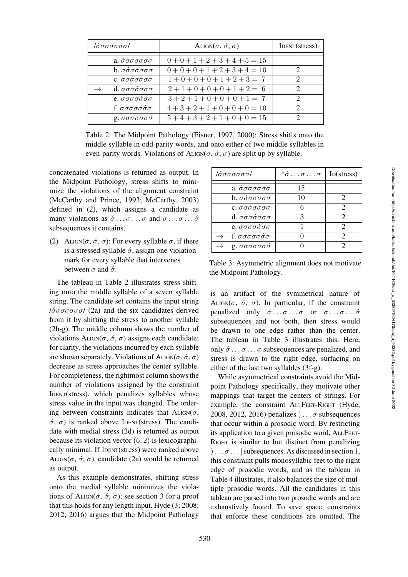| ΙόσσσσσσΙ                                                     | ALIGN $(\sigma, \acute{\sigma}, \sigma)$ | IDENT(stress) |
|---------------------------------------------------------------|------------------------------------------|---------------|
| a. $\acute{\sigma} \sigma \sigma \sigma \sigma \sigma$        | $0+0+1+2+3+4+5=15$                       |               |
| $b. \sigma \acute{\sigma} \sigma \sigma \sigma \sigma$        | $0+0+0+1+2+3+4=10$                       | $\mathcal{D}$ |
| $c. \sigma \sigma \acute{\sigma} \sigma \sigma \sigma \sigma$ | $1+0+0+0+1+2+3=7$                        | $\mathcal{D}$ |
| $d. \sigma \sigma \sigma \sigma \sigma \sigma$                | $2+1+0+0+0+1+2=6$                        | $\mathcal{D}$ |
| $e. \sigma \sigma \sigma \sigma \sigma \sigma$                | $3+2+1+0+0+0+1=7$                        | C             |
| f. $\sigma\sigma\sigma\sigma\acute{\sigma}\sigma$             | $4+3+2+1+0+0+0=10$                       | $\mathcal{D}$ |
| $g. \sigma \sigma \sigma \sigma \sigma \sigma$                | $5+4+3+2+1+0+0=15$                       | 2             |

<span id="page-2-1"></span>Table 2: The Midpoint Pathology [\(Eisner](#page-7-7), [1997,](#page-7-7) [2000](#page-7-4)): Stress shifts onto the middle syllable in odd-parity words, and onto either of two middle syllables in even-parity words. Violations of ALIGN( $\sigma$ ,  $\dot{\sigma}$ ,  $\sigma$ ) are split up by syllable.

concatenated violations is returned as output. In the Midpoint Pathology, stress shifts to minimize the violations of the alignment constraint [\(McCarthy and Prince](#page-8-7), [1993](#page-8-7); [McCarthy, 2003\)](#page-8-14) defined in [\(2\)](#page-2-0), which assigns a candidate as many violations as  $\acute{\sigma} \dots \sigma \dots \sigma$  and  $\sigma \dots \sigma \dots \acute{\sigma}$ subsequences it contains.

<span id="page-2-0"></span>(2) ALIGN( $\sigma$ ,  $\dot{\sigma}$ ,  $\sigma$ ): For every syllable  $\sigma$ , if there is a stressed syllable  $\acute{\sigma}$ , assign one violation mark for every syllable that intervenes between  $\sigma$  and  $\dot{\sigma}$ .

The tableau in [Table 2](#page-2-1) illustrates stress shifting onto the middle syllable of a seven syllable string. The candidate set contains the input string  $1\acute{\sigma}\sigma\sigma\sigma\sigma\sigma$  [\(2a](#page-2-1)) and the six candidates derived from it by shifting the stress to another syllable [\(2b](#page-2-1)-g). The middle column shows the number of violations ALIGN( $\sigma$ ,  $\dot{\sigma}$ ,  $\sigma$ ) assigns each candidate; for clarity, the violations incurred by each syllable are shown separately. Violations of ALIGN( $\sigma$ ,  $\acute{\sigma}$ ,  $\sigma$ ) decrease as stress approaches the center syllable. For completeness, the rightmost column shows the number of violations assigned by the constraint IDENT(stress), which penalizes syllables whose stress value in the input was changed. The ordering between constraints indicates that  $ALIGN(\sigma,$  $\dot{\sigma}$ ,  $\sigma$ ) is ranked above IDENT(stress). The candidate with medial stress [\(2d](#page-2-1)) is returned as output because its violation vector  $(6, 2)$  is lexicographically minimal. If IDENT(stress) were ranked above ALIGN( $\sigma$ ,  $\dot{\sigma}$ ,  $\sigma$ ), candidate [\(2a](#page-2-1)) would be returned as output.

As this example demonstrates, shifting stress onto the medial syllable minimizes the violations of ALIGN( $\sigma$ ,  $\dot{\sigma}$ ,  $\sigma$ ); see section [3](#page-3-0) for a proof that this holds for any length input. [Hyde](#page-7-17) (3; [2008](#page-7-17); [2012](#page-7-12); [2016\)](#page-7-13) argues that the Midpoint Pathology

| ΙάσσσσσσΙ                                              | $*\sigma \ldots \sigma \ldots \sigma$ | I <sub>D</sub> (stress) |
|--------------------------------------------------------|---------------------------------------|-------------------------|
| a. $\acute{\sigma} \sigma \sigma \sigma \sigma \sigma$ | 15                                    |                         |
| $b. \sigma \acute{\sigma} \sigma \sigma \sigma \sigma$ | 10                                    | 2                       |
| ς. σσόσσσσ                                             |                                       | $\mathcal{D}_{\cdot}$   |
| $d. \sigma \sigma \sigma \sigma \sigma \sigma$         | ર                                     | 2                       |
| e. σσσσόσσ                                             |                                       |                         |
| $\rightarrow$ f. σσσσσόσ                               |                                       | 2                       |
| g. $\sigma\sigma\sigma\sigma\sigma\sigma$              |                                       |                         |

<span id="page-2-2"></span>Table 3: Asymmetric alignment does not motivate the Midpoint Pathology.

is an artifact of the symmetrical nature of ALIGN( $\sigma$ ,  $\dot{\sigma}$ ,  $\sigma$ ). In particular, if the constraint penalized only  $\acute{\sigma} \dots \sigma \dots \sigma$  or  $\sigma \dots \sigma \dots \acute{\sigma}$ subsequences and not both, then stress would be drawn to one edge rather than the center. The tableau in [Table 3](#page-2-2) illustrates this. Here, only  $\acute{\sigma} \dots \sigma \dots \sigma$  subsequences are penalized, and stress is drawn to the right edge, surfacing on either of the last two syllables [\(3f](#page-2-2)-g).

While asymmetrical constraints avoid the Midpoint Pathology specifically, they motivate other mappings that target the centers of strings. For example, the constraint ALLFEET-RIGHT [\(Hyde,](#page-7-17) [2008](#page-7-17), [2012](#page-7-12), [2016\)](#page-7-13) penalizes  $\ldots$  *σ* subsequences that occur within a prosodic word. By restricting its application to a given prosodic word, ALLFEET-RIGHT is similar to but distinct from penalizing  $[\ldots \sigma \ldots]$  subsequences. As discussed in [section 1,](#page-0-1) this constraint pulls monosyllabic feet to the right edge of prosodic words, and as the tableau in [Table 4](#page-3-1) illustrates, it also balances the size of multiple prosodic words. All the candidates in this tableau are parsed into two prosodic words and are exhaustively footed. To save space, constraints that enforce these conditions are omitted. The

Downloaded from http://direct.mit.edu/tacl/article-pdf/doi/10.1162/tacl\_a\_00382/1924170/tacl\_a\_00382.pdf by guest on 30 June 2022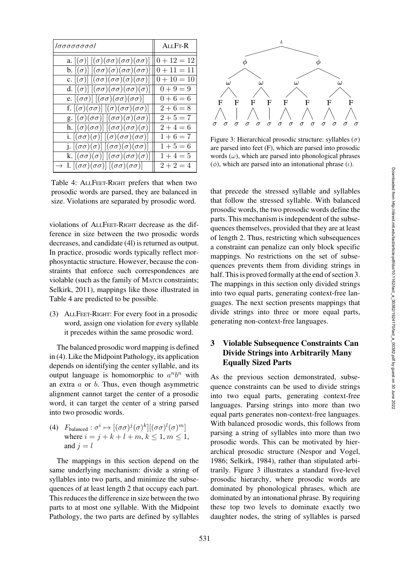| ΙσσσσσσσοΙ                                                                         | $ALI$ F <sub>T</sub> - $R$ |
|------------------------------------------------------------------------------------|----------------------------|
| a. $[(\sigma)] [(\sigma)(\sigma\sigma)(\sigma\sigma)(\sigma\sigma)]$               | $0 + 12 = 12$              |
| b. $[(\sigma)] [(\sigma\sigma)(\sigma)(\sigma\sigma)(\sigma\sigma)]$               | $0 + 11 = 11$              |
| c. $[(\sigma)] [(\sigma\sigma)(\sigma\sigma)(\sigma)(\sigma\sigma)]$               | $0 + 10 = 10$              |
| d. $[(\sigma)] [(\sigma\sigma)(\sigma\sigma)(\sigma\sigma)(\sigma)]$               | $0 + 9 = 9$                |
| e. $[(\sigma\sigma)] [(\sigma\sigma)(\sigma\sigma)(\sigma\sigma)]$                 | $0 + 6 = 6$                |
| f. $[(\sigma)(\sigma\sigma)] [(\sigma)(\sigma\sigma)(\sigma\sigma)]$               | $2+6=8$                    |
| g. $[(\sigma)(\sigma\sigma)] [(\sigma\sigma)(\sigma)(\sigma\sigma)]$               | $2 + 5 = 7$                |
| h. $[(\sigma)(\sigma\sigma)] [(\sigma\sigma)(\sigma\sigma)(\sigma)]$               | $2 + 4 = 6$                |
| i. $[(\sigma\sigma)(\sigma)] [(\sigma)(\sigma\sigma)(\sigma\sigma)]$               | $1+6=7$                    |
| j. $[(\sigma\sigma)(\sigma)] [(\sigma\sigma)(\sigma)(\sigma\sigma)]$               | $1 + 5 = 6$                |
| k. $[(\sigma\sigma)(\sigma)] [(\sigma\sigma)(\sigma\sigma)(\sigma)]$               | $1 + 4 = 5$                |
| $\rightarrow$ 1. $[(\sigma\sigma)(\sigma\sigma)]$ $[(\sigma\sigma)(\sigma\sigma)]$ | $2 + 2 = 4$                |

<span id="page-3-1"></span>Table 4: ALLFEET-RIGHT prefers that when two prosodic words are parsed, they are balanced in size. Violations are separated by prosodic word.

violations of ALLFEET-RIGHT decrease as the difference in size between the two prosodic words decreases, and candidate [\(4l](#page-3-1)) is returned as output. In practice, prosodic words typically reflect morphosyntactic structure. However, because the constraints that enforce such correspondences are violable (such as the family of MATCH constraints; [Selkirk, 2011\)](#page-8-15), mappings like those illustrated in [Table 4](#page-3-1) are predicted to be possible.

(3) ALLFEET-RIGHT: For every foot in a prosodic word, assign one violation for every syllable it precedes within the same prosodic word.

The balanced prosodic word mapping is defined in [\(4\)](#page-3-2). Like the Midpoint Pathology, its application depends on identifying the center syllable, and its output language is homomorphic to  $a^n b^n$  with an extra  $a$  or  $b$ . Thus, even though asymmetric alignment cannot target the center of a prosodic word, it can target the center of a string parsed into two prosodic words.

<span id="page-3-2"></span>(4)  $F_{\text{balanced}}: \sigma^i \mapsto [(\sigma\sigma)^j(\sigma)^k][(\sigma\sigma)^l(\sigma)^m]$ where  $i = j + k + l + m, k \le 1, m \le 1$ , and  $i = l$ 

The mappings in this section depend on the same underlying mechanism: divide a string of syllables into two parts, and minimize the subsequences of at least length 2 that occupy each part. This reduces the difference in size between the two parts to at most one syllable. With the Midpoint Pathology, the two parts are defined by syllables



<span id="page-3-3"></span>Figure 3: Hierarchical prosodic structure: syllables ( $\sigma$ ) are parsed into feet (F), which are parsed into prosodic words  $(\omega)$ , which are parsed into phonological phrases ( $\phi$ ), which are parsed into an intonational phrase (*ι*).

that precede the stressed syllable and syllables that follow the stressed syllable. With balanced prosodic words, the two prosodic words define the parts. This mechanism is independent of the subsequences themselves, provided that they are at least of length 2. Thus, restricting which subsequences a constraint can penalize can only block specific mappings. No restrictions on the set of subsequences prevents them from dividing strings in half. This is proved formally at the end of section [3.](#page-3-0) The mappings in this section only divided strings into two equal parts, generating context-free languages. The next section presents mappings that divide strings into three or more equal parts, generating non-context-free languages.

# <span id="page-3-0"></span>3 Violable Subsequence Constraints Can Divide Strings into Arbitrarily Many Equally Sized Parts

As the previous section demonstrated, subsequence constraints can be used to divide strings into two equal parts, generating context-free languages. Parsing strings into more than two equal parts generates non-context-free languages. With balanced prosodic words, this follows from parsing a string of syllables into more than two prosodic words. This can be motivated by hierarchical prosodic structure [\(Nespor and Vogel,](#page-8-16) [1986](#page-8-16); [Selkirk, 1984](#page-8-17)), rather than stipulated arbitrarily. [Figure 3](#page-3-3) illustrates a standard five-level prosodic hierarchy, where prosodic words are dominated by phonological phrases, which are dominated by an intonational phrase. By requiring these top two levels to dominate exactly two daughter nodes, the string of syllables is parsed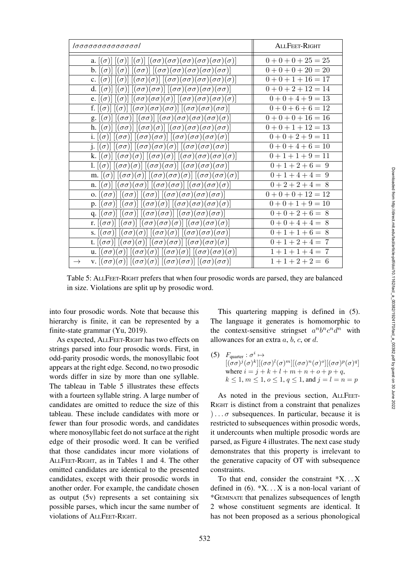| Ισσσσσσσσσσσσσι                                                                                                                                                                                                                 | ALL FEET-RIGHT |
|---------------------------------------------------------------------------------------------------------------------------------------------------------------------------------------------------------------------------------|----------------|
| a. $[(\sigma)][(\sigma)][(\sigma)] [(\sigma\sigma)(\sigma\sigma)(\sigma\sigma)(\sigma\sigma)(\sigma\sigma)(\sigma)]$                                                                                                            | $0+0+0+25=25$  |
| b. $[(\sigma)] [(\sigma)] [(\sigma\sigma)] [(\sigma\sigma)(\sigma\sigma)(\sigma\sigma)(\sigma\sigma)(\sigma\sigma)]$                                                                                                            | $0+0+0+20=20$  |
| c. $[(\sigma)][(\sigma)] [(\sigma\sigma)(\sigma)] [(\sigma\sigma)(\sigma\sigma)(\sigma\sigma)(\sigma\sigma)(\sigma)]$                                                                                                           | $0+0+1+16=17$  |
| d. $[(\sigma)] [(\sigma)] [(\sigma\sigma)(\sigma\sigma)] [(\sigma\sigma)(\sigma\sigma)(\sigma\sigma)(\sigma\sigma)]$                                                                                                            | $0+0+2+12=14$  |
| e. $[(\sigma)][(\sigma)][(\sigma\sigma)(\sigma\sigma)(\sigma)][(\sigma\sigma)(\sigma\sigma)(\sigma\sigma)(\sigma)]$                                                                                                             | $0+0+4+9=13$   |
| f. $[(\sigma)][(\sigma)][(\sigma\sigma)(\sigma\sigma)(\sigma\sigma)][(\sigma\sigma)(\sigma\sigma)(\sigma\sigma)]$                                                                                                               | $0+0+6+6=12$   |
| g. $[(\sigma)][(\sigma\sigma)][(\sigma\sigma)][(\sigma\sigma)(\sigma\sigma)(\sigma\sigma)(\sigma\sigma)(\sigma)]$                                                                                                               | $0+0+0+16=16$  |
| h. $[(\sigma)][(\sigma\sigma)][(\sigma\sigma)(\sigma)][(\sigma\sigma)(\sigma\sigma)(\sigma\sigma)(\sigma\sigma)]$                                                                                                               | $0+0+1+12=13$  |
| i. $[(\sigma)] [(\sigma\sigma)] [(\sigma\sigma)(\sigma\sigma)] [(\sigma\sigma)(\sigma\sigma)(\sigma\sigma)(\sigma)]$                                                                                                            | $0+0+2+9=11$   |
| j. $[(\sigma)][(\sigma\sigma)][(\sigma\sigma)(\sigma\sigma)(\sigma)]$ $[(\sigma\sigma)(\sigma\sigma)(\sigma\sigma)]$                                                                                                            | $0+0+4+6=10$   |
| k. $[(\sigma)] [(\sigma\sigma)(\sigma)] [(\sigma\sigma)(\sigma)] [(\sigma\sigma)(\sigma\sigma)(\sigma\sigma)(\sigma)]$                                                                                                          | $0+1+1+9=11$   |
| 1. $[(\sigma)] [(\sigma\sigma)(\sigma)] [(\sigma\sigma)(\sigma\sigma)] [(\sigma\sigma)(\sigma\sigma)(\sigma\sigma)]$                                                                                                            | $0+1+2+6=9$    |
| m. $[(\sigma)] [(\sigma\sigma)(\sigma)] [(\sigma\sigma)(\sigma\sigma)(\sigma)] [(\sigma\sigma)(\sigma\sigma)(\sigma)]$                                                                                                          | $0+1+4+4=9$    |
| n. $[(\sigma)][(\sigma\sigma)(\sigma\sigma)][(\sigma\sigma)(\sigma\sigma)][(\sigma\sigma)(\sigma\sigma)(\sigma)]$                                                                                                               | $0+2+2+4=8$    |
| o. $[(\sigma\sigma)] [(\sigma\sigma)] [(\sigma\sigma)] [(\sigma\sigma)(\sigma\sigma)(\sigma\sigma)(\sigma\sigma)]$                                                                                                              | $0+0+0+12=12$  |
| $\text{p. } [\left(\sigma\sigma\right)]\left[\left(\sigma\sigma\right)\right]\left[\left(\sigma\sigma\right)\left(\sigma\right)\right]\left[\left(\sigma\sigma\right)\left(\sigma\sigma\right)\left(\sigma\sigma\right)\right]$ | $0+0+1+9=10$   |
| q. $[(\sigma\sigma)] [(\sigma\sigma)] [(\sigma\sigma)(\sigma\sigma)] [(\sigma\sigma)(\sigma\sigma)(\sigma\sigma)]$                                                                                                              | $0+0+2+6=8$    |
| r. $[(\sigma\sigma)][(\sigma\sigma)][(\sigma\sigma)(\sigma\sigma)(\sigma)][(\sigma\sigma)(\sigma\sigma)(\sigma)]$                                                                                                               | $0+0+4+4=8$    |
| s. $[(\sigma\sigma)] [(\sigma\sigma)(\sigma)] [(\sigma\sigma)(\sigma)] [(\sigma\sigma)(\sigma\sigma)(\sigma\sigma)]$                                                                                                            | $0+1+1+6=8$    |
| t. $[(\sigma\sigma)] [(\sigma\sigma)(\sigma)] [(\sigma\sigma)(\sigma\sigma)] [(\sigma\sigma)(\sigma\sigma)(\sigma)]$                                                                                                            | $0+1+2+4=7$    |
| u. $[(\sigma\sigma)(\sigma)] [(\sigma\sigma)(\sigma)] [(\sigma\sigma)(\sigma)] [(\sigma\sigma)(\sigma\sigma)(\sigma)]$                                                                                                          | $1+1+1+4=7$    |
| v. $[(\sigma\sigma)(\sigma)]$ $[(\sigma\sigma)(\sigma)]$ $[(\sigma\sigma)(\sigma\sigma)]$ $[(\sigma\sigma)(\sigma\sigma)]$<br>$\rightarrow$                                                                                     | $1+1+2+2=6$    |

<span id="page-4-0"></span>Table 5: ALLFEET-RIGHT prefers that when four prosodic words are parsed, they are balanced in size. Violations are split up by prosodic word.

into four prosodic words. Note that because this hierarchy is finite, it can be represented by a finite-state grammar [\(Yu](#page-9-2), [2019\)](#page-9-2).

As expected, ALLFEET-RIGHT has two effects on strings parsed into four prosodic words. First, in odd-parity prosodic words, the monosyllabic foot appears at the right edge. Second, no two prosodic words differ in size by more than one syllable. The tableau in [Table 5](#page-4-0) illustrates these effects with a fourteen syllable string. A large number of candidates are omitted to reduce the size of this tableau. These include candidates with more or fewer than four prosodic words, and candidates where monosyllabic feet do not surface at the right edge of their prosodic word. It can be verified that those candidates incur more violations of ALLFEET-RIGHT, as in [Tables 1](#page-1-2) and [4.](#page-3-1) The other omitted candidates are identical to the presented candidates, except with their prosodic words in another order. For example, the candidate chosen as output [\(5v](#page-4-0)) represents a set containing six possible parses, which incur the same number of violations of ALLFEET-RIGHT.

This quartering mapping is defined in [\(5\)](#page-4-1). The language it generates is homomorphic to the context-sensitive stringset  $a^n b^n c^n d^n$  with allowances for an extra  $a, b, c,$  or  $d$ .

<span id="page-4-1"></span>(5)  $F_{\text{quarter}}: \sigma^i \mapsto$  $[(\sigma\sigma)^j(\sigma)^k] [(\sigma\sigma)^l(\sigma)^m] [(\sigma\sigma)^n(\sigma)^o] [(\sigma\sigma)^p(\sigma)^q]$ where  $i = j + k + l + m + n + o + p + q$ ,  $k \le 1, m \le 1, o \le 1, q \le 1,$  and  $j = l = n = p$ 

As noted in the previous section, ALLFEET-RIGHT is distinct from a constraint that penalizes )... $\sigma$  subsequences. In particular, because it is restricted to subsequences within prosodic words, it undercounts when multiple prosodic words are parsed, as [Figure 4](#page-5-0) illustrates. The next case study demonstrates that this property is irrelevant to the generative capacity of OT with subsequence constraints.

To that end, consider the constraint  $X$ ... X defined in  $(6)$ .  $*X$ ... X is a non-local variant of \*GEMINATE that penalizes subsequences of length 2 whose constituent segments are identical. It has not been proposed as a serious phonological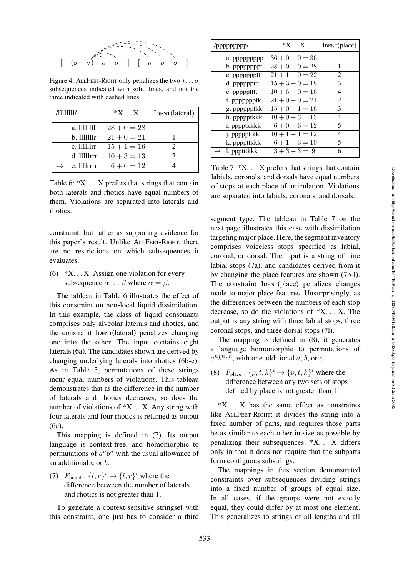

<span id="page-5-0"></span>Figure 4: ALLFEET-RIGHT only penalizes the two  $\cdot \cdot \cdot \sigma$ subsequences indicated with solid lines, and not the three indicated with dashed lines.

| /1111111/               | $*X \dots X$  | IDENT(lateral) |
|-------------------------|---------------|----------------|
| a. 11111111             | $28 + 0 = 28$ |                |
| $b.$ $1111111r$         | $21 + 0 = 21$ |                |
| $c.$ 111111 $rr$        | $15 + 1 = 16$ |                |
| d. 11111 <sub>rrr</sub> | $10 + 3 = 13$ |                |
| e. 1111 rrrr            | $6+6=12$      |                |

<span id="page-5-2"></span>Table 6: \*X. . . X prefers that strings that contain both laterals and rhotics have equal numbers of them. Violations are separated into laterals and rhotics.

constraint, but rather as supporting evidence for this paper's result. Unlike ALLFEET-RIGHT, there are no restrictions on which subsequences it evaluates.

<span id="page-5-1"></span>(6)  $*X$ ... X: Assign one violation for every subsequence  $\alpha$ ...  $\beta$  where  $\alpha = \beta$ .

The tableau in [Table 6](#page-5-2) illustrates the effect of this constraint on non-local liquid dissimilation. In this example, the class of liquid consonants comprises only alveolar laterals and rhotics, and the constraint IDENT(lateral) penalizes changing one into the other. The input contains eight laterals [\(6a](#page-5-2)). The candidates shown are derived by changing underlying laterals into rhotics [\(6b](#page-5-2)-e). As in [Table 5,](#page-4-0) permutations of these strings incur equal numbers of violations. This tableau demonstrates that as the difference in the number of laterals and rhotics decreases, so does the number of violations of \*X. . . X. Any string with four laterals and four rhotics is returned as output [\(6e](#page-5-2)).

This mapping is defined in [\(7\)](#page-5-3). Its output language is context-free, and homomorphic to permutations of  $a^n b^n$  with the usual allowance of an additional a or b.

<span id="page-5-3"></span>(7)  $F_{\text{liquid}}: \{l, r\}^i \mapsto \{l, r\}^i$  where the difference between the number of laterals and rhotics is not greater than 1.

To generate a context-sensitive stringset with this constraint, one just has to consider a third

| /ppppppppp/  | $*X \dots X$      | IDENT(place)   |
|--------------|-------------------|----------------|
| a. ppppppppp | $36 + 0 + 0 = 36$ |                |
| b. ppppppppt | $28 + 0 + 0 = 28$ | 1              |
| c. ppppppptt | $21 + 1 + 0 = 22$ | 2              |
| d. ppppppttt | $15 + 3 + 0 = 18$ | 3              |
| e. ppppptttt | $10 + 6 + 0 = 16$ | 4              |
| f. ppppppptk | $21 + 0 + 0 = 21$ | $\overline{c}$ |
| g. pppppptkk | $15 + 0 + 1 = 16$ | 3              |
| h. ppppptkkk | $10 + 0 + 3 = 13$ | 4              |
| i. pppptkkkk | $6+0+6=12$        | 5              |
| j. pppppttkk | $10 + 1 + 1 = 12$ | 4              |
| k. ppppttkkk | $6+1+3=10$        | 5              |
| l. ppptttkkk | $3+3+3=9$         | 6              |

<span id="page-5-4"></span>Table 7: \*X. . . X prefers that strings that contain labials, coronals, and dorsals have equal numbers of stops at each place of articulation. Violations are separated into labials, coronals, and dorsals.

segment type. The tableau in [Table 7](#page-5-4) on the next page illustrates this case with dissimilation targeting major place. Here, the segment inventory comprises voiceless stops specified as labial, coronal, or dorsal. The input is a string of nine labial stops [\(7a](#page-5-4)), and candidates derived from it by changing the place features are shown [\(7b](#page-5-4)-l). The constraint IDENT(place) penalizes changes made to major place features. Unsurprisingly, as the differences between the numbers of each stop decrease, so do the violations of \*X. . . X. The output is any string with three labial stops, three coronal stops, and three dorsal stops [\(7l](#page-5-4)).

The mapping is defined in [\(8\)](#page-5-5); it generates a language homomorphic to permutations of  $a^n b^n c^n$ , with one additional a, b, or c.

<span id="page-5-5"></span>(8)  $F_{\text{place}}: \{p, t, k\}^i \mapsto \{p, t, k\}^i$  where the difference between any two sets of stops defined by place is not greater than 1.

 $*X$ ... X has the same effect as constraints like ALLFEET-RIGHT: it divides the string into a fixed number of parts, and requires those parts be as similar to each other in size as possible by penalizing their subsequences. \*X. . . X differs only in that it does not require that the subparts form contiguous substrings.

The mappings in this section demonstrated constraints over subsequences dividing strings into a fixed number of groups of equal size. In all cases, if the groups were not exactly equal, they could differ by at most one element. This generalizes to strings of all lengths and all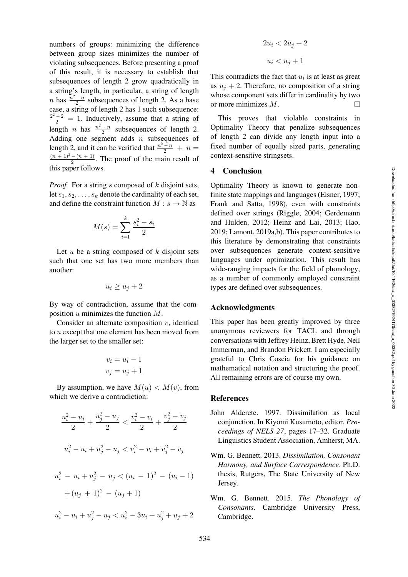numbers of groups: minimizing the difference between group sizes minimizes the number of violating subsequences. Before presenting a proof of this result, it is necessary to establish that subsequences of length 2 grow quadratically in a string's length, in particular, a string of length *n* has  $\frac{n^2 - n}{2}$  subsequences of length 2. As a base case, a string of length 2 has 1 such subsequence:  $\frac{2^2-2}{2} = 1$ . Inductively, assume that a string of length *n* has  $\frac{n^2 - n}{2}$  subsequences of length 2. Adding one segment adds  $n$  subsequences of length 2, and it can be verified that  $\frac{n^2-n}{2} + n =$  $\frac{(n+1)^2 - (n+1)}{2}$ . The proof of the main result of this paper follows.

*Proof.* For a string s composed of k disjoint sets, let  $s_1, s_2, \ldots, s_k$  denote the cardinality of each set, and define the constraint function  $M : s \to \mathbb{N}$  as

$$
M(s) = \sum_{i=1}^{k} \frac{s_i^2 - s_i}{2}
$$

Let  $u$  be a string composed of  $k$  disjoint sets such that one set has two more members than another:

$$
u_i \ge u_j + 2
$$

By way of contradiction, assume that the composition  $u$  minimizes the function  $M$ .

Consider an alternate composition  $v$ , identical to u except that one element has been moved from the larger set to the smaller set:

$$
v_i = u_i - 1
$$

$$
v_j = u_j + 1
$$

By assumption, we have  $M(u) < M(v)$ , from which we derive a contradiction:

$$
\frac{u_i^2 - u_i}{2} + \frac{u_j^2 - u_j}{2} < \frac{v_i^2 - v_i}{2} + \frac{v_j^2 - v_j}{2}
$$
\n
$$
u_i^2 - u_i + u_j^2 - u_j < v_i^2 - v_i + v_j^2 - v_j
$$
\n
$$
u_i^2 - u_i + u_j^2 - u_j < (u_i - 1)^2 - (u_i - 1)
$$
\n
$$
+ (u_j + 1)^2 - (u_j + 1)
$$
\n
$$
u_i^2 - u_i + u_j^2 - u_j < u_i^2 - 3u_i + u_j^2 + u_j + 2
$$

$$
2u_i < 2u_j + 2
$$
\n
$$
u_i < u_j + 1
$$

This contradicts the fact that  $u_i$  is at least as great as  $u_j + 2$ . Therefore, no composition of a string whose component sets differ in cardinality by two or more minimizes M.  $\Box$ 

This proves that violable constraints in Optimality Theory that penalize subsequences of length 2 can divide any length input into a fixed number of equally sized parts, generating context-sensitive stringsets.

### 4 Conclusion

Optimality Theory is known to generate nonfinite state mappings and languages [\(Eisner, 1997](#page-7-7); [Frank and Satta, 1998](#page-7-3)), even with constraints defined ov[er strings](#page-7-18) [\(Riggle](#page-8-1)[,](#page-7-18) [2004](#page-8-1)[;](#page-7-18) Gerdemann and Hulden, [2012;](#page-7-18) [Heinz and Lai](#page-7-19), [2013](#page-7-19); [Hao,](#page-7-20) [2019](#page-7-20); [Lamont, 2019a](#page-8-4)[,b\)](#page-8-5). This paper contributes to this literature by demonstrating that constraints over subsequences generate context-sensitive languages under optimization. This result has wide-ranging impacts for the field of phonology, as a number of commonly employed constraint types are defined over subsequences.

### Acknowledgments

This paper has been greatly improved by three anonymous reviewers for TACL and through conversations with Jeffrey Heinz, Brett Hyde, Neil Immerman, and Brandon Prickett. I am especially grateful to Chris Coscia for his guidance on mathematical notation and structuring the proof. All remaining errors are of course my own.

#### References

- <span id="page-6-0"></span>John Alderete. 1997. Dissimilation as local conjunction. In Kiyomi Kusumoto, editor, *Proceedings of NELS 27*, pages 17–32. Graduate Linguistics Student Association, Amherst, MA.
- <span id="page-6-1"></span>Wm. G. Bennett. 2013. *Dissimilation, Consonant Harmony, and Surface Correspondence*. Ph.D. thesis, Rutgers, The State University of New Jersey.
- <span id="page-6-2"></span>Wm. G. Bennett. 2015. *The Phonology of Consonants*. Cambridge University Press, Cambridge.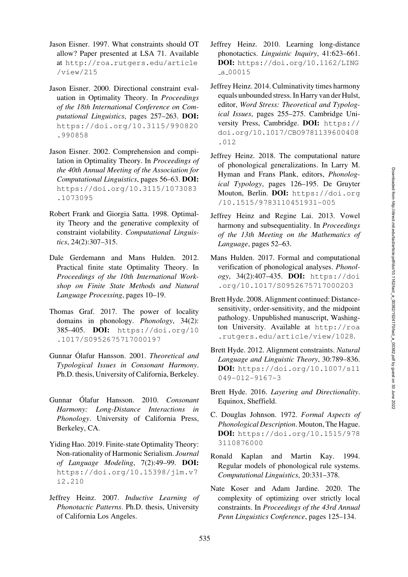- <span id="page-7-7"></span>Jason Eisner. 1997. What constraints should OT allow? Paper presented at LSA 71. Available at [http://roa.rutgers.edu/article](https://roa.rutgers.edu/article/view/215) [/view/215](https://roa.rutgers.edu/article/view/215)
- <span id="page-7-4"></span>Jason Eisner. 2000. Directional constraint evaluation in Optimality Theory. In *Proceedings of the 18th International Conference on Computational Linguistics*, pages 257–263. DOI: [https://doi.org/10.3115/990820](https://doi.org/10.3115/990820.990858) [.990858](https://doi.org/10.3115/990820.990858)
- <span id="page-7-5"></span>Jason Eisner. 2002. Comprehension and compilation in Optimality Theory. In *Proceedings of the 40th Annual Meeting of the Association for Computational Linguistics*, pages 56–63. DOI: [https://doi.org/10.3115/1073083](https://doi.org/10.3115/1073083.1073095) [.1073095](https://doi.org/10.3115/1073083.1073095)
- <span id="page-7-3"></span>Robert Frank and Giorgia Satta. 1998. Optimality Theory and the generative complexity of constraint violability. *Computational Linguistics*, 24(2):307–315.
- <span id="page-7-18"></span>Dale Gerdemann and Mans Hulden. 2012. Practical finite state Optimality Theory. In *Proceedings of the 10th International Workshop on Finite State Methods and Natural Language Processing*, pages 10–19.
- <span id="page-7-11"></span>Thomas Graf. 2017. The power of locality domains in phonology. *Phonology*, 34(2): 385–405. DOI: [https://doi.org/10](https://doi.org/10.1017/S0952675717000197) [.1017/S0952675717000197](https://doi.org/10.1017/S0952675717000197)
- <span id="page-7-15"></span>Gunnar Ólafur Hansson. 2001. *Theoretical and Typological Issues in Consonant Harmony*. Ph.D. thesis, University of California, Berkeley.
- <span id="page-7-16"></span>Gunnar Ólafur Hansson. 2010. Consonant *Harmony: Long-Distance Interactions in Phonology*. University of California Press, Berkeley, CA.
- <span id="page-7-20"></span>Yiding Hao. 2019. Finite-state Optimality Theory: Non-rationality of Harmonic Serialism. *Journal of Language Modeling*, 7(2):49–99. DOI: [https://doi.org/10.15398/jlm.v7](https://doi.org/10.15398/jlm.v7i2.210) [i2.210](https://doi.org/10.15398/jlm.v7i2.210)
- <span id="page-7-8"></span>Jeffrey Heinz. 2007. *Inductive Learning of Phonotactic Patterns*. Ph.D. thesis, University of California Los Angeles.
- <span id="page-7-9"></span>Jeffrey Heinz. 2010. Learning long-distance phonotactics. *Linguistic Inquiry*, 41:623–661. DOI: [https://doi.org/10.1162/LING](https://doi.org/10.1162/LING_a_00015)  $-a.00015$  $-a.00015$
- <span id="page-7-10"></span>Jeffrey Heinz. 2014. Culminativity times harmony equals unbounded stress. In Harry van der Hulst, editor, *Word Stress: Theoretical and Typological Issues*, pages 255–275. Cambridge University Press, Cambridge. DOI: [https://](https://doi.org/10.1017/CBO9781139600408.012) [doi.org/10.1017/CBO9781139600408](https://doi.org/10.1017/CBO9781139600408.012) [.012](https://doi.org/10.1017/CBO9781139600408.012)
- <span id="page-7-2"></span>Jeffrey Heinz. 2018. The computational nature of phonological generalizations. In Larry M. Hyman and Frans Plank, editors, *Phonological Typology*, pages 126–195. De Gruyter Mouton, Berlin. DOI: [https://doi.org](https://doi.org/10.1515/9783110451931-005) [/10.1515/9783110451931-005](https://doi.org/10.1515/9783110451931-005)
- <span id="page-7-19"></span>Jeffrey Heinz and Regine Lai. 2013. Vowel harmony and subsequentiality. In *Proceedings of the 13th Meeting on the Mathematics of Language*, pages 52–63.
- <span id="page-7-6"></span>Mans Hulden. 2017. Formal and computational verification of phonological analyses. *Phonology*, 34(2):407–435. DOI: [https://doi](https://doi.org/10.1017/S0952675717000203) [.org/10.1017/S0952675717000203](https://doi.org/10.1017/S0952675717000203)
- <span id="page-7-17"></span>Brett Hyde. 2008. Alignment continued: Distancesensitivity, order-sensitivity, and the midpoint pathology. Unpublished manuscript, Washington University. Available at [http://roa](https://roa.rutgers.edu/article/view/1028) [.rutgers.edu/article/view/1028](https://roa.rutgers.edu/article/view/1028).
- <span id="page-7-12"></span>Brett Hyde. 2012. Alignment constraints. *Natural Language and Linguistic Theory*, 30:789–836. DOI: [https://doi.org/10.1007/s11](https://doi.org/10.1007/s11049-012-9167-3) [049-012-9167-3](https://doi.org/10.1007/s11049-012-9167-3)
- <span id="page-7-13"></span>Brett Hyde. 2016. *Layering and Directionality*. Equinox, Sheffield.
- <span id="page-7-0"></span>C. Douglas Johnson. 1972. *Formal Aspects of Phonological Description*. Mouton, The Hague. DOI: [https://doi.org/10.1515/978](https://doi.org/10.1515/9783110876000) [3110876000](https://doi.org/10.1515/9783110876000)
- <span id="page-7-1"></span>Ronald Kaplan and Martin Kay. 1994. Regular models of phonological rule systems. *Computational Linguistics*, 20:331–378.
- <span id="page-7-14"></span>Nate Koser and Adam Jardine. 2020. The complexity of optimizing over strictly local constraints. In *Proceedings of the 43rd Annual Penn Linguistics Conference*, pages 125–134.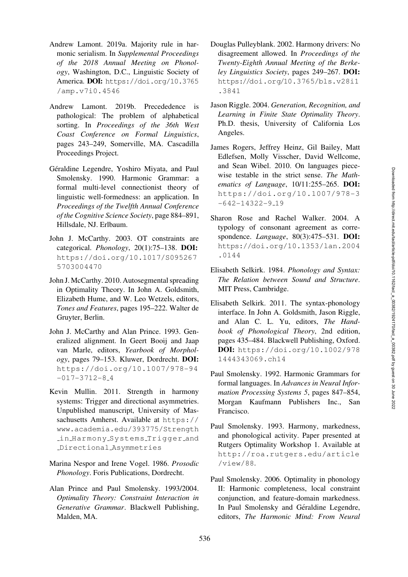- <span id="page-8-4"></span>Andrew Lamont. 2019a. Majority rule in harmonic serialism. In *Supplemental Proceedings of the 2018 Annual Meeting on Phonology*, Washington, D.C., Linguistic Society of America. DOI: [https://doi.org/10.3765](https://doi.org/10.3765/amp.v7i0.4546) [/amp.v7i0.4546](https://doi.org/10.3765/amp.v7i0.4546)
- <span id="page-8-5"></span>Andrew Lamont. 2019b. Precededence is pathological: The problem of alphabetical sorting. In *Proceedings of the 36th West Coast Conference on Formal Linguistics*, pages 243–249, Somerville, MA. Cascadilla Proceedings Project.
- <span id="page-8-2"></span>Géraldine Legendre, Yoshiro Miyata, and Paul Smolensky. 1990. Harmonic Grammar: a formal multi-level connectionist theory of linguistic well-formedness: an application. In *Proceedings of the Twelfth Annual Conference of the Cognitive Science Society*, page 884–891, Hillsdale, NJ. Erlbaum.
- <span id="page-8-14"></span>John J. McCarthy. 2003. OT constraints are categorical. *Phonology*, 20(1):75–138. DOI: [https://doi.org/10.1017/S095267](https://doi.org/10.1017/S0952675703004470) [5703004470](https://doi.org/10.1017/S0952675703004470)
- <span id="page-8-11"></span>John J. McCarthy. 2010. Autosegmental spreading in Optimality Theory. In John A. Goldsmith, Elizabeth Hume, and W. Leo Wetzels, editors, *Tones and Features*, pages 195–222. Walter de Gruyter, Berlin.
- <span id="page-8-7"></span>John J. McCarthy and Alan Prince. 1993. Generalized alignment. In Geert Booij and Jaap van Marle, editors, *Yearbook of Morphology*, pages 79–153. Kluwer, Dordrecht. DOI: [https://doi.org/10.1007/978-94](https://doi.org/10.1007/978-94-017-3712-8_4)  $-017-3712-8.4$  $-017-3712-8.4$
- <span id="page-8-12"></span>Kevin Mullin. 2011. Strength in harmony systems: Trigger and directional asymmetries. Unpublished manuscript, University of Massachusetts Amherst. Available at [https://](https://www.academia.edu/393775/Strength_in_Harmony_Systems_Trigger_and_Directional_Asymmetries) [www.academia.edu/393775/Strength](https://www.academia.edu/393775/Strength_in_Harmony_Systems_Trigger_and_Directional_Asymmetries) in Harmony Systems [Trigger](https://www.academia.edu/393775/Strength_in_Harmony_Systems_Trigger_and_Directional_Asymmetries) and [Directional](https://www.academia.edu/393775/Strength_in_Harmony_Systems_Trigger_and_Directional_Asymmetries) Asymmetries
- <span id="page-8-16"></span>Marina Nespor and Irene Vogel. 1986. *Prosodic Phonology*. Foris Publications, Dordrecht.
- <span id="page-8-0"></span>Alan Prince and Paul Smolensky. 1993/2004. *Optimality Theory: Constraint Interaction in Generative Grammar*. Blackwell Publishing, Malden, MA.
- <span id="page-8-10"></span>Douglas Pulleyblank. 2002. Harmony drivers: No disagreement allowed. In *Proceedings of the Twenty-Eighth Annual Meeting of the Berkeley Linguistics Society*, pages 249–267. DOI: [https://doi.org/10.3765/bls.v28i1](https://doi.org/10.3765/bls.v28i1.3841) [.3841](https://doi.org/10.3765/bls.v28i1.3841)
- <span id="page-8-1"></span>Jason Riggle. 2004. *Generation, Recognition, and Learning in Finite State Optimality Theory*. Ph.D. thesis, University of California Los Angeles.
- <span id="page-8-6"></span>James Rogers, Jeffrey Heinz, Gil Bailey, Matt Edlefsen, Molly Visscher, David Wellcome, and Sean Wibel. 2010. On languages piecewise testable in the strict sense. *The Mathematics of Language*, 10/11:255–265. DOI: [https://doi.org/10.1007/978-3](https://doi.org/10.1007/978-3-642-14322-9_19)  $-642-14322-9.19$  $-642-14322-9.19$
- <span id="page-8-13"></span>Sharon Rose and Rachel Walker. 2004. A typology of consonant agreement as correspondence. *Language*, 80(3):475–531. DOI: [https://doi.org/10.1353/lan.2004](https://doi.org/10.1353/lan.2004.0144) [.0144](https://doi.org/10.1353/lan.2004.0144)
- <span id="page-8-17"></span>Elisabeth Selkirk. 1984. *Phonology and Syntax: The Relation between Sound and Structure*. MIT Press, Cambridge.
- <span id="page-8-15"></span>Elisabeth Selkirk. 2011. The syntax-phonology interface. In John A. Goldsmith, Jason Riggle, and Alan C. L. Yu, editors, *The Handbook of Phonological Theory*, 2nd edition, pages 435–484. Blackwell Publishing, Oxford. DOI: [https://doi.org/10.1002/978](https://doi.org/10.1002/9781444343069.ch14) [1444343069.ch14](https://doi.org/10.1002/9781444343069.ch14)
- <span id="page-8-3"></span>Paul Smolensky. 1992. Harmonic Grammars for formal languages. In *Advances in Neural Information Processing Systems 5*, pages 847–854, Morgan Kaufmann Publishers Inc., San Francisco.
- <span id="page-8-8"></span>Paul Smolensky. 1993. Harmony, markedness, and phonological activity. Paper presented at Rutgers Optimality Workshop 1. Available at [http://roa.rutgers.edu/article](http://roa.rutgers.edu/article/view/88) [/view/88](http://roa.rutgers.edu/article/view/88).
- <span id="page-8-9"></span>Paul Smolensky. 2006. Optimality in phonology II: Harmonic completeness, local constraint conjunction, and feature-domain markedness. In Paul Smolensky and Géraldine Legendre, editors, *The Harmonic Mind: From Neural*